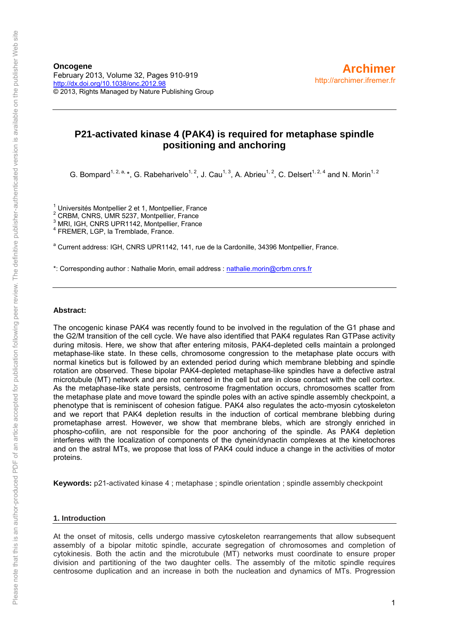# **P21-activated kinase 4 (PAK4) is required for metaphase spindle positioning and anchoring**

G. Bompard<sup>1, 2, a,</sup> \*, G. Rabeharivelo<sup>1, 2</sup>, J. Cau<sup>1, 3</sup>, A. Abrieu<sup>1, 2</sup>, C. Delsert<sup>1, 2, 4</sup> and N. Morin<sup>1, 2</sup>

 $\frac{1}{2}$  Universités Montpellier 2 et 1, Montpellier, France

 $2$  CRBM, CNRS, UMR 5237, Montpellier, France

<sup>3</sup> MRI, IGH, CNRS UPR1142, Montpellier, France

4 FREMER, LGP, la Tremblade, France.

<sup>a</sup> Current address: IGH, CNRS UPR1142, 141, rue de la Cardonille, 34396 Montpellier, France.

\*: Corresponding author : Nathalie Morin, email address : [nathalie.morin@crbm.cnrs.fr](mailto:nathalie.morin@crbm.cnrs.fr) 

# **Abstract:**

The oncogenic kinase PAK4 was recently found to be involved in the regulation of the G1 phase and the G2/M transition of the cell cycle. We have also identified that PAK4 regulates Ran GTPase activity during mitosis. Here, we show that after entering mitosis, PAK4-depleted cells maintain a prolonged metaphase-like state. In these cells, chromosome congression to the metaphase plate occurs with normal kinetics but is followed by an extended period during which membrane blebbing and spindle rotation are observed. These bipolar PAK4-depleted metaphase-like spindles have a defective astral microtubule (MT) network and are not centered in the cell but are in close contact with the cell cortex. As the metaphase-like state persists, centrosome fragmentation occurs, chromosomes scatter from the metaphase plate and move toward the spindle poles with an active spindle assembly checkpoint, a phenotype that is reminiscent of cohesion fatigue. PAK4 also regulates the acto-myosin cytoskeleton and we report that PAK4 depletion results in the induction of cortical membrane blebbing during prometaphase arrest. However, we show that membrane blebs, which are strongly enriched in phospho-cofilin, are not responsible for the poor anchoring of the spindle. As PAK4 depletion interferes with the localization of components of the dynein/dynactin complexes at the kinetochores and on the astral MTs, we propose that loss of PAK4 could induce a change in the activities of motor proteins.

**Keywords:** p21-activated kinase 4 ; metaphase ; spindle orientation ; spindle assembly checkpoint

# **1. Introduction**

At the onset of mitosis, cells undergo massive cytoskeleton rearrangements that allow subsequent assembly of a bipolar mitotic spindle, accurate segregation of chromosomes and completion of cytokinesis. Both the actin and the microtubule (MT) networks must coordinate to ensure proper division and partitioning of the two daughter cells. The assembly of the mitotic spindle requires centrosome duplication and an increase in both the nucleation and dynamics of MTs. Progression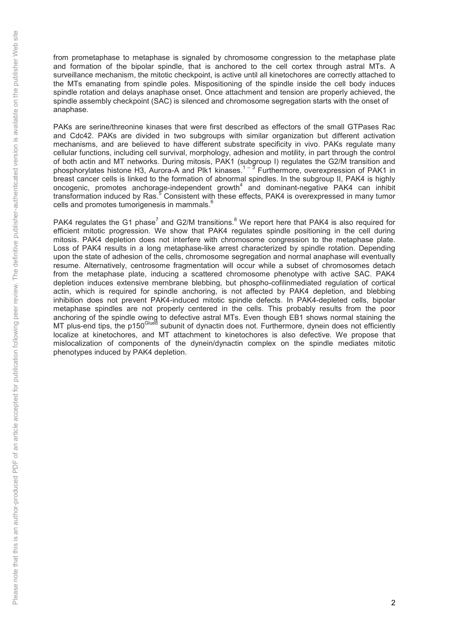from prometaphase to metaphase is signaled by chromosome congression to the metaphase plate and formation of the bipolar spindle, that is anchored to the cell cortex through astral MTs. A surveillance mechanism, the mitotic checkpoint, is active until all kinetochores are correctly attached to the MTs emanating from spindle poles. Mispositioning of the spindle inside the cell body induces spindle rotation and delays anaphase onset. Once attachment and tension are properly achieved, the spindle assembly checkpoint (SAC) is silenced and chromosome segregation starts with the onset of anaphase.

PAKs are serine/threonine kinases that were first described as effectors of the small GTPases Rac and Cdc42. PAKs are divided in two subgroups with similar organization but different activation mechanisms, and are believed to have different substrate specificity in vivo. PAKs regulate many cellular functions, including cell survival, morphology, adhesion and motility, in part through the control of both actin and MT networks. During mitosis, PAK1 (subgroup I) regulates the G2/M transition and phosphorylates histone H3, Aurora-A and Plk1 kinases.<sup>1 – 3</sup> Furthermore, overexpression of PAK1 in breast cancer cells is linked to the formation of abnormal spindles. In the subgroup II, PAK4 is highly oncogenic, promotes anchorage-independent growth<sup>4</sup> and dominant-negative PAK4 can inhibit transformation induced by Ras.<sup>5</sup> Consistent with these effects, PAK4 is overexpressed in many tumor cells and promotes tumorigenesis in mammals.<sup>6</sup>

PAK4 regulates the G1 phase<sup>7</sup> and G2/M transitions.<sup>8</sup> We report here that PAK4 is also required for efficient mitotic progression. We show that PAK4 regulates spindle positioning in the cell during mitosis. PAK4 depletion does not interfere with chromosome congression to the metaphase plate. Loss of PAK4 results in a long metaphase-like arrest characterized by spindle rotation. Depending upon the state of adhesion of the cells, chromosome segregation and normal anaphase will eventually resume. Alternatively, centrosome fragmentation will occur while a subset of chromosomes detach from the metaphase plate, inducing a scattered chromosome phenotype with active SAC. PAK4 depletion induces extensive membrane blebbing, but phospho-cofilinmediated regulation of cortical actin, which is required for spindle anchoring, is not affected by PAK4 depletion, and blebbing inhibition does not prevent PAK4-induced mitotic spindle defects. In PAK4-depleted cells, bipolar metaphase spindles are not properly centered in the cells. This probably results from the poor anchoring of the spindle owing to defective astral MTs. Even though EB1 shows normal staining the MT plus-end tips, the p150<sup>Glued</sup> subunit of dynactin does not. Furthermore, dynein does not efficiently localize at kinetochores, and MT attachment to kinetochores is also defective. We propose that mislocalization of components of the dynein/dynactin complex on the spindle mediates mitotic phenotypes induced by PAK4 depletion.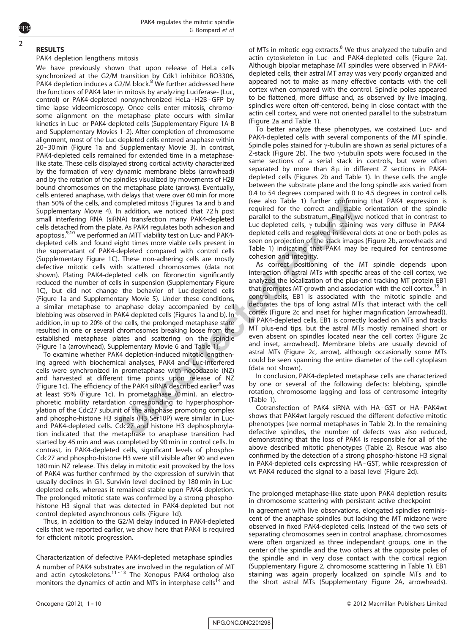# RESULTS

2

# PAK4 depletion lengthens mitosis

We have previously shown that upon release of HeLa cells synchronized at the G2/M transition by Cdk1 inhibitor RO3306, PAK4 depletion induces a G2/M block.<sup>[8](#page-9-0)</sup> We further addressed here the functions of PAK4 later in mitosis by analyzing Luciferase- (Luc, control) or PAK4-depleted nonsynchronized HeLa-H2B-GFP by time lapse videomicroscopy. Once cells enter mitosis, chromosome alignment on the metaphase plate occurs with similar kinetics in Luc- or PAK4-depleted cells (Supplementary Figure 1A-B and Supplementary Movies 1-2). After completion of chromosome alignment, most of the Luc-depleted cells entered anaphase within 20-30 min ([Figure 1a](#page-3-0) and Supplementary Movie 3). In contrast, PAK4-depleted cells remained for extended time in a metaphaselike state. These cells displayed strong cortical activity characterized by the formation of very dynamic membrane blebs (arrowhead) and by the rotation of the spindles visualized by movements of H2B bound chromosomes on the metaphase plate (arrows). Eventually, cells entered anaphase, with delays that were over 60 min for more than 50% of the cells, and completed mitosis ([Figures 1a and b](#page-3-0) and Supplementary Movie 4). In addition, we noticed that 72h post small interfering RNA (siRNA) transfection many PAK4-depleted cells detached from the plate. As PAK4 regulates both adhesion and apoptosis,<sup>9,10</sup> we performed an MTT viability test on Luc- and PAK4depleted cells and found eight times more viable cells present in the supernatant of PAK4-depleted compared with control cells (Supplementary Figure 1C). These non-adhering cells are mostly defective mitotic cells with scattered chromosomes (data not shown). Plating PAK4-depleted cells on fibronectin significantly reduced the number of cells in suspension (Supplementary Figure 1C), but did not change the behavior of Luc-depleted cells ([Figure 1a](#page-3-0) and Supplementary Movie 5). Under these conditions, a similar metaphase to anaphase delay accompanied by cell blebbing was observed in PAK4-depleted cells [\(Figures 1a and b](#page-3-0)). In addition, in up to 20% of the cells, the prolonged metaphase state resulted in one or several chromosomes breaking loose from the established metaphase plates and scattering on the spindle ([Figure 1a](#page-3-0) (arrowhead), Supplementary Movie 6 and [Table 1\)](#page-4-0).

To examine whether PAK4 depletion-induced mitotic lengthening agreed with biochemical analyses, PAK4 and Luc-interfered cells were synchronized in prometaphase with nocodazole (NZ) and harvested at different time points upon release of NZ ([Figure 1c](#page-3-0)). The efficiency of the PAK4 siRNA described earlier $<sup>8</sup>$  $<sup>8</sup>$  $<sup>8</sup>$  was</sup> at least 95% ([Figure 1c](#page-3-0)). In prometaphase (0 min), an electrophoretic mobility retardation corresponding to hyperphosphorylation of the Cdc27 subunit of the anaphase promoting complex and phospho-histone H3 signals (H3 Ser10P) were similar in Lucand PAK4-depleted cells. Cdc27 and histone H3 dephosphorylation indicated that the metaphase to anaphase transition had started by 45 min and was completed by 90 min in control cells. In contrast, in PAK4-depleted cells, significant levels of phospho-Cdc27 and phospho-histone H3 were still visible after 90 and even 180 min NZ release. This delay in mitotic exit provoked by the loss of PAK4 was further confirmed by the expression of survivin that usually declines in G1. Survivin level declined by 180 min in Lucdepleted cells, whereas it remained stable upon PAK4 depletion. The prolonged mitotic state was confirmed by a strong phosphohistone H3 signal that was detected in PAK4-depleted but not control depleted asynchronous cells ([Figure 1d](#page-3-0)).

Thus, in addition to the G2/M delay induced in PAK4-depleted cells that we reported earlier, we show here that PAK4 is required for efficient mitotic progression.

Characterization of defective PAK4-depleted metaphase spindles A number of PAK4 substrates are involved in the regulation of MT and actin cytoskeletons. $11 - 13$  The Xenopus PAK4 ortholog also monitors the dynamics of actin and MTs in interphase cells<sup>[14](#page-10-0)</sup> and of MTs in mitotic egg extracts.<sup>[8](#page-9-0)</sup> We thus analyzed the tubulin and actin cytoskeleton in Luc- and PAK4-depleted cells [\(Figure 2a](#page-5-0)). Although bipolar metaphase MT spindles were observed in PAK4 depleted cells, their astral MT array was very poorly organized and appeared not to make as many effective contacts with the cell cortex when compared with the control. Spindle poles appeared to be flattened, more diffuse and, as observed by live imaging, spindles were often off-centered, being in close contact with the actin cell cortex, and were not oriented parallel to the substratum ([Figure 2a](#page-5-0) and [Table 1](#page-4-0)).

To better analyze these phenotypes, we costained Luc- and PAK4-depleted cells with several components of the MT spindle. Spindle poles stained for  $\gamma$ -tubulin are shown as serial pictures of a Z-stack ([Figure 2b](#page-5-0)). The two  $\gamma$ -tubulin spots were focused in the same sections of a serial stack in controls, but were often separated by more than 8 u in different Z sections in PAK4depleted cells ([Figures 2b](#page-5-0) and [Table 1\)](#page-4-0). In these cells the angle between the substrate plane and the long spindle axis varied from 0.4 to 54 degrees compared with 0 to 4.5 degrees in control cells (see also [Table 1\)](#page-4-0) further confirming that PAK4 expression is required for the correct and stable orientation of the spindle parallel to the substratum. Finally, we noticed that in contrast to Luc-depleted cells,  $\gamma$ -tubulin staining was very diffuse in PAK4depleted cells and resolved in several dots at one or both poles as seen on projection of the stack images ([Figure 2b](#page-5-0), arrowheads and [Table 1](#page-4-0)) indicating that PAK4 may be required for centrosome cohesion and integrity.

As correct positioning of the MT spindle depends upon interaction of astral MTs with specific areas of the cell cortex, we analyzed the localization of the plus-end tracking MT protein EB1 that promotes MT growth and association with the cell cortex.<sup>[15](#page-10-0)</sup> In control cells, EB1 is associated with the mitotic spindle and decorates the tips of long astral MTs that interact with the cell cortex ([Figure 2c](#page-5-0) and inset for higher magnification (arrowhead)). In PAK4-depleted cells, EB1 is correctly loaded on MTs and tracks MT plus-end tips, but the astral MTs mostly remained short or even absent on spindles located near the cell cortex ([Figure 2c](#page-5-0) and inset, arrowhead). Membrane blebs are usually devoid of astral MTs [\(Figure 2c,](#page-5-0) arrow), although occasionally some MTs could be seen spanning the entire diameter of the cell cytoplasm (data not shown).

In conclusion, PAK4-depleted metaphase cells are characterized by one or several of the following defects: blebbing, spindle rotation, chromosome lagging and loss of centrosome integrity ([Table 1\)](#page-4-0).

Cotransfection of PAK4 siRNA with HA-GST or HA-PAK4wt shows that PAK4wt largely rescued the different defective mitotic phenotypes (see normal metaphases in [Table 2\)](#page-5-0). In the remaining defective spindles, the number of defects was also reduced, demonstrating that the loss of PAK4 is responsible for all of the above described mitotic phenotypes ([Table 2](#page-5-0)). Rescue was also confirmed by the detection of a strong phospho-histone H3 signal in PAK4-depleted cells expressing HA-GST, while reexpression of wt PAK4 reduced the signal to a basal level [\(Figure 2d\)](#page-5-0).

The prolonged metaphase-like state upon PAK4 depletion results in chromosome scattering with persistant active checkpoint

In agreement with live observations, elongated spindles reminiscent of the anaphase spindles but lacking the MT midzone were observed in fixed PAK4-depleted cells. Instead of the two sets of separating chromosomes seen in control anaphase, chromosomes were often organized as three independant groups, one in the center of the spindle and the two others at the opposite poles of the spindle and in very close contact with the cortical region (Supplementary Figure 2, chromosome scattering in [Table 1\)](#page-4-0). EB1 staining was again properly localized on spindle MTs and to the short astral MTs (Supplementary Figure 2A, arrowheads).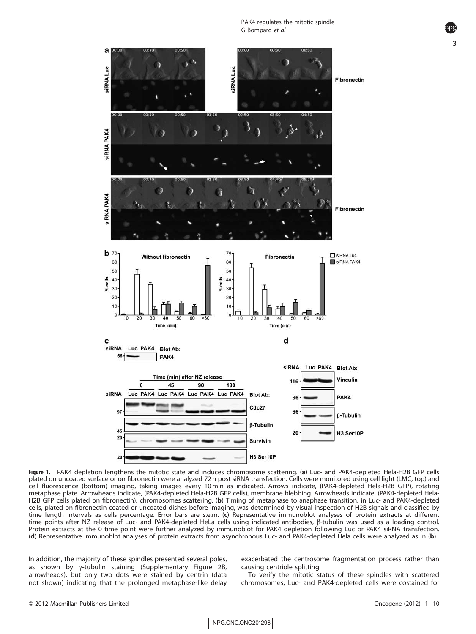<span id="page-3-0"></span>

Figure 1. PAK4 depletion lengthens the mitotic state and induces chromosome scattering. (a) Luc- and PAK4-depleted Hela-H2B GFP cells plated on uncoated surface or on fibronectin were analyzed 72 h post siRNA transfection. Cells were monitored using cell light (LMC, top) and cell fluorescence (bottom) imaging, taking images every 10 min as indicated. Arrows indicate, (PAK4-depleted Hela-H2B GFP), rotating metaphase plate. Arrowheads indicate, (PAK4-depleted Hela-H2B GFP cells), membrane blebbing. Arrowheads indicate, (PAK4-depleted Hela-H2B GFP cells plated on fibronectin), chromosomes scattering. (b) Timing of metaphase to anaphase transition, in Luc- and PAK4-depleted cells, plated on fibronectin-coated or uncoated dishes before imaging, was determined by visual inspection of H2B signals and classified by time length intervals as cells percentage. Error bars are s.e.m. (c) Representative immunoblot analyses of protein extracts at different time points after NZ release of Luc- and PAK4-depleted HeLa cells using indicated antibodies, b-tubulin was used as a loading control. Protein extracts at the 0 time point were further analyzed by immunoblot for PAK4 depletion following Luc or PAK4 siRNA transfection. (d) Representative immunoblot analyses of protein extracts from asynchronous Luc- and PAK4-depleted Hela cells were analyzed as in (b).

In addition, the majority of these spindles presented several poles, as shown by  $\gamma$ -tubulin staining (Supplementary Figure 2B, arrowheads), but only two dots were stained by centrin (data not shown) indicating that the prolonged metaphase-like delay exacerbated the centrosome fragmentation process rather than causing centriole splitting.

To verify the mitotic status of these spindles with scattered chromosomes, Luc- and PAK4-depleted cells were costained for

NPG\_ONC\_ONC201298

3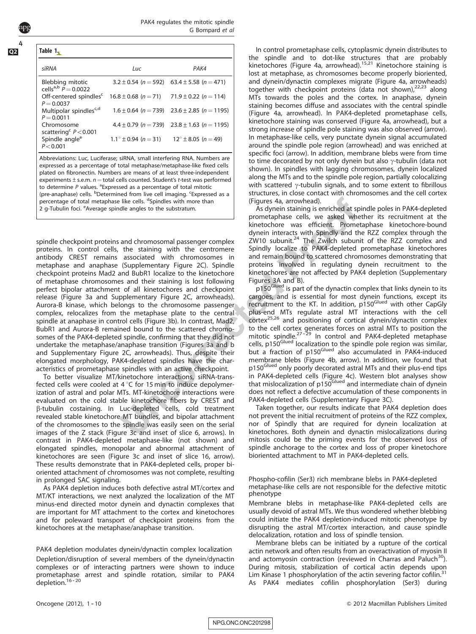<span id="page-4-0"></span>4

#### Table 1. siRNA Luc PAK4 Blebbing mitotic cells<sup>a,b</sup>  $\tilde{P} = 0.0022$  $3.2 \pm 0.54$  (n = 592) 63.4  $\pm$  5.58 (n = 471) Off-centered spindles $c$  $P = 0.0037$  $16.8 \pm 0.68$  (n = 71) 71.9  $\pm$  0.22 (n = 114) Multipolar spindles $c,d$  $P = 0.0011$  $1.6 \pm 0.64$  (n = 739) 23.6  $\pm$  2.85 (n = 1195) Chromosome scattering<sup>c</sup>  $P < 0.001$  $4.4 \pm 0.79$  (n = 739) 23.8  $\pm$  1.63 (n = 1195) Spindle angle<sup>e</sup>  $P < 0.001$ 1.1°  $\pm$  0.94 (n = 31) 12°  $\pm$  8.05 (n = 49)

Abbreviations: Luc, Luciferase; siRNA, small interfering RNA. Numbers are expressed as a percentage of total metaphase/metaphase-like fixed cells plated on fibronectin. Numbers are means of at least three-independent experiments  $\pm$  s.e.m.  $n =$  total cells counted. Student's t-test was performed to determine P values. <sup>a</sup> Expressed as a percentage of total mitotic (pre-anaphase) cells. <sup>b</sup>Determined from live cell imaging. <sup>c</sup>Expressed as a percentage of total metaphase like cells. <sup>d</sup>Spindles with more than 2 g-Tubulin foci. <sup>e</sup> Average spindle angles to the substratum.

spindle checkpoint proteins and chromosomal passenger complex proteins. In control cells, the staining with the centromere antibody CREST remains associated with chromosomes in metaphase and anaphase (Supplementary Figure 2C). Spindle checkpoint proteins Mad2 and BubR1 localize to the kinetochore of metaphase chromosomes and their staining is lost following perfect bipolar attachment of all kinetochores and checkpoint release ([Figure 3a](#page-6-0) and Supplementary Figure 2C, arrowheads). Aurora-B kinase, which belongs to the chromosome passenger complex, relocalizes from the metaphase plate to the central spindle at anaphase in control cells [\(Figure 3b](#page-6-0)). In contrast, Mad2, BubR1 and Aurora-B remained bound to the scattered chromosomes of the PAK4-depleted spindle, confirming that they did not undertake the metaphase/anaphase transition ([Figures 3a and b](#page-6-0) and Supplementary Figure 2C, arrowheads). Thus, despite their elongated morphology, PAK4-depleted spindles have the characteristics of prometaphase spindles with an active checkpoint.

To better visualize MT/kinetochore interactions, siRNA-transfected cells were cooled at  $4^{\circ}$ C for 15 min to induce depolymerization of astral and polar MTs. MT-kinetochore interactions were evaluated on the cold stable kinetochore fibers by CREST and b-tubulin costaining. In Luc-depleted cells, cold treatment revealed stable kinetochore MT bundles, and bipolar attachment of the chromosomes to the spindle was easily seen on the serial images of the Z stack [\(Figure 3c](#page-6-0) and inset of slice 6, arrows). In contrast in PAK4-depleted metaphase-like (not shown) and elongated spindles, monopolar and abnormal attachment of kinetochores are seen [\(Figure 3c](#page-6-0) and inset of slice 16, arrow). These results demonstrate that in PAK4-depleted cells, proper bioriented attachment of chromosomes was not complete, resulting in prolonged SAC signaling.

As PAK4 depletion induces both defective astral MT/cortex and MT/KT interactions, we next analyzed the localization of the MT minus-end directed motor dynein and dynactin complexes that are important for MT attachment to the cortex and kinetochores and for poleward transport of checkpoint proteins from the kinetochores at the metaphase/anaphase transition.

PAK4 depletion modulates dynein/dynactin complex localization Depletion/disruption of several members of the dynein/dynactin complexes or of interacting partners were shown to induce prometaphase arrest and spindle rotation, similar to PAK4 depletion.<sup>16-20</sup>

In control prometaphase cells, cytoplasmic dynein distributes to the spindle and to dot-like structures that are probably kinetochores ([Figure 4a](#page-7-0), arrowhead).<sup>[15,21](#page-10-0)</sup> Kinetochore staining is lost at metaphase, as chromosomes become properly bioriented, and dynein/dynactin complexes migrate [\(Figure 4a,](#page-7-0) arrowheads) together with checkpoint proteins (data not shown),<sup>[22,23](#page-10-0)</sup> along MTs towards the poles and the cortex. In anaphase, dynein staining becomes diffuse and associates with the central spindle ([Figure 4a,](#page-7-0) arrowhead). In PAK4-depleted prometaphase cells, kinetochore staining was conserved [\(Figure 4a,](#page-7-0) arrowhead), but a strong increase of spindle pole staining was also observed (arrow). In metaphase-like cells, very punctate dynein signal accumulated around the spindle pole region (arrowhead) and was enriched at specific foci (arrow). In addition, membrane blebs were from time to time decorated by not only dynein but also  $\gamma$ -tubulin (data not shown). In spindles with lagging chromosomes, dynein localized along the MTs and to the spindle pole region, partially colocalizing with scattered  $\gamma$ -tubulin signals, and to some extent to fibrillous structures, in close contact with chromosomes and the cell cortex ([Figures 4a,](#page-7-0) arrowhead).

As dynein staining is enriched at spindle poles in PAK4-depleted prometaphase cells, we asked whether its recruitment at the kinetochore was efficient. Prometaphase kinetochore-bound dynein interacts with Spindly and the RZZ complex through the  $ZW10$  subunit.<sup>[24](#page-10-0)</sup> The Zwilch subunit of the RZZ complex and Spindly localize to PAK4-depleted prometaphase kinetochores and remain bound to scattered chromosomes demonstrating that proteins involved in regulating dynein recruitment to the kinetochores are not affected by PAK4 depletion (Supplementary Figures 3A and B).

p150<sup>Glued</sup> is part of the dynactin complex that links dynein to its cargoes, and is essential for most dynein functions, except its recruitment to the KT. In addition, p150<sup>Glued</sup> with other CapGly plus-end MTs regulate astral MT interactions with the cell cortex[25,26](#page-10-0) and positioning of cortical dynein/dynactin complex to the cell cortex generates forces on astral MTs to position the mitotic spindle.<sup>27-29</sup> In control and PAK4-depleted metaphase cells, p150<sup>Glued</sup> localization to the spindle pole region was similar, but a fraction of p150<sup>Glued</sup> also accumulated in PAK4-induced membrane blebs ([Figure 4b,](#page-7-0) arrow). In addition, we found that p150<sup>Glued</sup> only poorly decorated astral MTs and their plus-end tips in PAK4-depleted cells [\(Figure 4c\)](#page-7-0). Western blot analyses show<br>that mislocalization of p150<sup>Glued</sup> and intermediate chain of dynein does not reflect a defective accumulation of these components in PAK4-depleted cells (Supplementary Figure 3C).

Taken together, our results indicate that PAK4 depletion does not prevent the initial recruitment of proteins of the RZZ complex, nor of Spindly that are required for dynein localization at kinetochores. Both dynein and dynactin mislocalizations during mitosis could be the priming events for the observed loss of spindle anchorage to the cortex and loss of proper kinetochore bioriented attachment to MT in PAK4-depleted cells.

Phospho-cofilin (Ser3) rich membrane blebs in PAK4-depleted metaphase-like cells are not responsible for the defective mitotic phenotype

Membrane blebs in metaphase-like PAK4-depleted cells are usually devoid of astral MTs. We thus wondered whether blebbing could initiate the PAK4 depletion-induced mitotic phenotype by disrupting the astral MT/cortex interaction, and cause spindle delocalization, rotation and loss of spindle tension.

Membrane blebs can be initiated by a rupture of the cortical actin network and often results from an overactivation of myosin II and actomyosin contraction (reviewed in Charras and Paluch $30$ ). During mitosis, stabilization of cortical actin depends upon Lim Kinase 1 phosphorylation of the actin severing factor cofilin.<sup>[31](#page-10-0)</sup> As PAK4 mediates cofilin phosphorylation (Ser3) during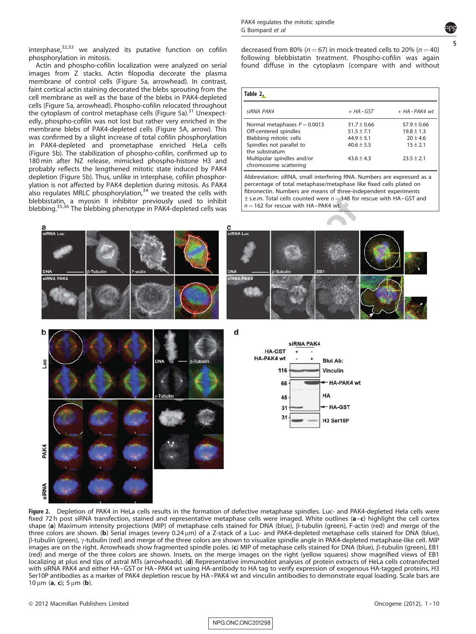5

<span id="page-5-0"></span>interphase, $32,33$  we analyzed its putative function on cofilin phosphorylation in mitosis.

Actin and phospho-cofilin localization were analyzed on serial images from Z stacks. Actin filopodia decorate the plasma membrane of control cells ([Figure 5a,](#page-8-0) arrowhead). In contrast, faint cortical actin staining decorated the blebs sprouting from the cell membrane as well as the base of the blebs in PAK4-depleted cells ([Figure 5a,](#page-8-0) arrowhead). Phospho-cofilin relocated throughout the cytoplasm of control metaphase cells ([Figure 5a\)](#page-8-0).<sup>[31](#page-10-0)</sup> Unexpectedly, phospho-cofilin was not lost but rather very enriched in the membrane blebs of PAK4-depleted cells [\(Figure 5A](#page-8-0), arrow). This was confirmed by a slight increase of total cofilin phosphorylation in PAK4-depleted and prometaphase enriched HeLa cells [\(Figure 5b\)](#page-8-0). The stabilization of phospho-cofilin, confirmed up to 180 min after NZ release, mimicked phospho-histone H3 and probably reflects the lengthened mitotic state induced by PAK4 depletion ([Figure 5b](#page-8-0)). Thus, unlike in interphase, cofilin phosphorylation is not affected by PAK4 depletion during mitosis. As PAK4 also regulates MRLC phosphorylation, $34$  we treated the cells with blebbistatin, a myosin II inhibitor previously used to inhibit blebbing.<sup>[35,36](#page-10-0)</sup> The blebbing phenotype in PAK4-depleted cells was decreased from 80% ( $n = 67$ ) in mock-treated cells to 20% ( $n = 40$ ) following blebbistatin treatment. Phospho-cofilin was again found diffuse in the cytoplasm (compare with and without

| Table 2.                                            |                 |                  |
|-----------------------------------------------------|-----------------|------------------|
| siRNA PAK4                                          | + HA-GST        | $+ HA$ - PAK4 wt |
| Normal metaphases $P = 0.0013$                      | $31.7 \pm 0.66$ | $57.9 \pm 0.66$  |
| Off-centered spindles                               | $51.5 \pm 7.1$  | $19.8 \pm 1.3$   |
| Blebbing mitotic cells                              | $44.9 \pm 5.1$  | $20 \pm 4.6$     |
| Spindles not parallel to<br>the substratum          | $40.6 \pm 5.5$  | $15 \pm 2.1$     |
| Multipolar spindles and/or<br>chromosome scattering | $43.6 \pm 4.3$  | $23.5 \pm 2.1$   |

Abbreviation: siRNA, small interfering RNA. Numbers are expressed as a percentage of total metaphase/metaphase like fixed cells plated on fibronectin. Numbers are means of three-independent experiments  $\pm$  s.e.m. Total cells counted were  $n = 148$  for rescue with HA-GST and  $n = 162$  for rescue with HA-PAK4 wt.



Figure 2. Depletion of PAK4 in HeLa cells results in the formation of defective metaphase spindles. Luc- and PAK4-depleted Hela cells were fixed 72 h post siRNA transfection, stained and representative metaphase cells were imaged. White outlines (a-c) highlight the cell cortex shape (a) Maximum intensity projections (MIP) of metaphase cells stained for DNA (blue), β-tubulin (green), F-actin (red) and merge of the three colors are shown. (b) Serial images (every 0.24  $\mu$ m) of a Z-stack of a Luc- and PAK4-depleted metaphase cells stained for DNA (blue),  $\beta$ -tubulin (green),  $\gamma$ -tubulin (red) and merge of the three colors are shown to visualize spindle angle in PAK4-depleted metaphase-like cell. MIP images are on the right. Arrowheads show fragmented spindle poles. (c) MIP of metaphase cells stained for DNA (blue), b-tubulin (green), EB1 (red) and merge of the three colors are shown. Insets, on the merge images on the right (yellow squares) show magnified views of EB1 localizing at plus end tips of astral MTs (arrowheads). (d) Representative immunoblot analyses of protein extracts of HeLa cells cotransfected with siRNA PAK4 and either HA-GST or HA-PAK4 wt using HA-antibody to HA tag to verify expression of exogenous HA-tagged proteins, H3 Ser10P antibodies as a marker of PAK4 depletion rescue by HA-PAK4 wt and vinculin antibodies to demonstrate equal loading. Scale bars are 10 μm (a, c); 5 μm (b).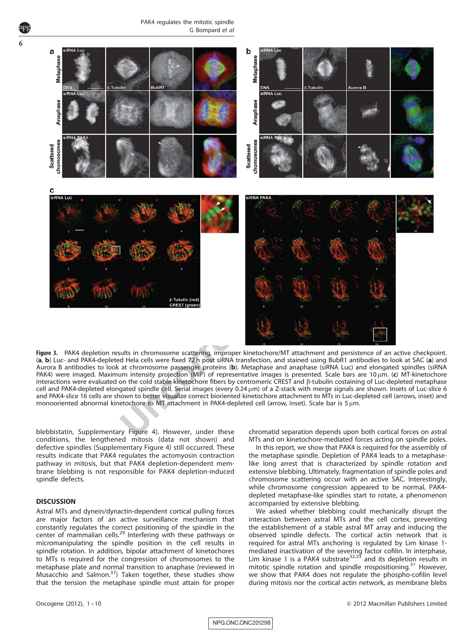<span id="page-6-0"></span>6



Figure 3. PAK4 depletion results in chromosome scattering, improper kinetochore/MT attachment and persistence of an active checkpoint. (a, b) Luc- and PAK4-depleted Hela cells were fixed 72 h post siRNA transfection, and stained using BubR1 antibodies to look at SAC (a) and Aurora B antibodies to look at chromosome passenger proteins (b). Metaphase and anaphase (siRNA Luc) and elongated spindles (siRNA PAK4) were imaged. Maximum intensity projection (MIP) of representative images is presented. Scale bars are 10 um. (c) MT-kinetochore interactions were evaluated on the cold stable kinetochore fibers by centromeric CREST and b-tubulin costaining of Luc-depleted metaphase cell and PAK4-depleted elongated spindle cell. Serial images (every 0.24 mm) of a Z-stack with merge signals are shown. Insets of Luc-slice 6 and PAK4-slice 16 cells are shown to better visualize correct bioriented kinetochore attachment to MTs in Luc-depleted cell (arrows, inset) and monooriented abnormal kinetochore to MT attachment in PAK4-depleted cell (arrow, inset). Scale bar is 5  $\mu$ m.

blebbistatin, Supplementary Figure 4). However, under these conditions, the lengthened mitosis (data not shown) and defective spindles (Supplementary Figure 4) still occurred. These results indicate that PAK4 regulates the actomyosin contraction pathway in mitosis, but that PAK4 depletion-dependent membrane blebbing is not responsible for PAK4 depletion-induced spindle defects.

# **DISCUSSION**

Astral MTs and dynein/dynactin-dependent cortical pulling forces are major factors of an active surveillance mechanism that constantly regulates the correct positioning of the spindle in the center of mammalian cells.<sup>[29](#page-10-0)</sup> Interfering with these pathways or micromanipulating the spindle position in the cell results in spindle rotation. In addition, bipolar attachment of kinetochores to MTs is required for the congression of chromosomes to the metaphase plate and normal transition to anaphase (reviewed in Musacchio and Salmon. $37$ ) Taken together, these studies show that the tension the metaphase spindle must attain for proper chromatid separation depends upon both cortical forces on astral MTs and on kinetochore-mediated forces acting on spindle poles.

In this report, we show that PAK4 is required for the assembly of the metaphase spindle. Depletion of PAK4 leads to a metaphaselike long arrest that is characterized by spindle rotation and extensive blebbing. Ultimately, fragmentation of spindle poles and chromosome scattering occur with an active SAC. Interestingly, while chromosome congression appeared to be normal, PAK4 depleted metaphase-like spindles start to rotate, a phenomenon accompanied by extensive blebbing.

We asked whether blebbing could mechanically disrupt the interaction between astral MTs and the cell cortex, preventing the establishement of a stable astral MT array and inducing the observed spindle defects. The cortical actin network that is required for astral MTs anchoring is regulated by Lim kinase 1- mediated inactivation of the severing factor cofilin. In interphase,<br>Lim kinase 1 is a PAK4 substrate<sup>[32,33](#page-10-0)</sup> and its depletion results in mitotic spindle rotation and spindle mispositioning.<sup>[31](#page-10-0)</sup> However, we show that PAK4 does not regulate the phospho-cofilin level during mitosis nor the cortical actin network, as membrane blebs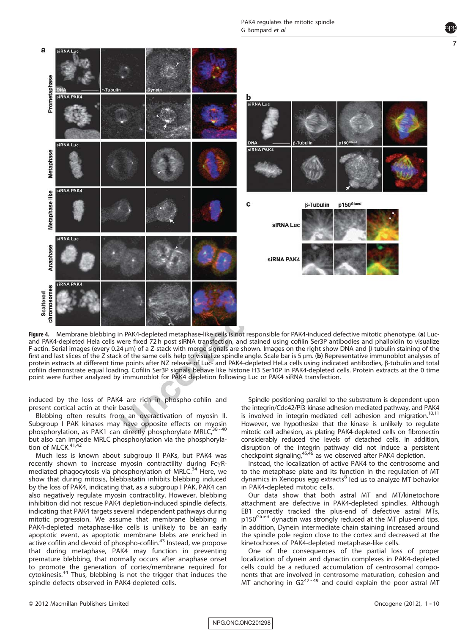PAK4 regulates the mitotic spindle G Bompard et al

<span id="page-7-0"></span>

Figure 4. Membrane blebbing in PAK4-depleted metaphase-like cells is not responsible for PAK4-induced defective mitotic phenotype. (a) Lucand PAK4-depleted Hela cells were fixed 72 h post siRNA transfection, and stained using cofilin Ser3P antibodies and phalloidin to visualize F-actin. Serial images (every 0.24 µm) of a Z-stack with merge signals are shown. Images on the right show DNA and  $\beta$ -tubulin staining of the first and last slices of the Z stack of the same cells help to visualize spindle angle. Scale bar is 5  $\mu$ m. (b) Representative immunoblot analyses of protein extracts at different time points after NZ release of Luc- and PAK4-depleted HeLa cells using indicated antibodies, b-tubulin and total cofilin demonstrate equal loading. Cofilin Ser3P signals behave like histone H3 Ser10P in PAK4-depleted cells. Protein extracts at the 0 time point were further analyzed by immunoblot for PAK4 depletion following Luc or PAK4 siRNA transfection.

induced by the loss of PAK4 are rich in phospho-cofilin and present cortical actin at their base.

Blebbing often results from an overactivation of myosin II. Subgroup I PAK kinases may have opposite effects on myosin phosphorylation, as PAK1 can directly phosphorylate MRLC, but also can impede MRLC phosphorylation via the phosphorylation of MLCK. $41,42$ 

Much less is known about subgroup II PAKs, but PAK4 was recently shown to increase myosin contractility during  $Fc\gamma R$ mediated phagocytosis via phosphorylation of MRLC.<sup>34</sup> Here, we show that during mitosis, blebbistatin inhibits blebbing induced by the loss of PAK4, indicating that, as a subgroup I PAK, PAK4 can also negatively regulate myosin contractility. However, blebbing inhibition did not rescue PAK4 depletion-induced spindle defects, indicating that PAK4 targets several independent pathways during mitotic progression. We assume that membrane blebbing in PAK4-depleted metaphase-like cells is unlikely to be an early apoptotic event, as apoptotic membrane blebs are enriched in active cofilin and devoid of phospho-cofilin.<sup>[43](#page-10-0)</sup> Instead, we propose that during metaphase, PAK4 may function in preventing premature blebbing, that normally occurs after anaphase onset to promote the generation of cortex/membrane required for cytokinesis.<sup>[44](#page-10-0)</sup> Thus, blebbing is not the trigger that induces the spindle defects observed in PAK4-depleted cells.

Spindle positioning parallel to the substratum is dependent upon the integrin/Cdc42/PI3-kinase adhesion-mediated pathway, and PAK4 is involved in integrin-mediated cell adhesion and migration.<sup>[10,11](#page-9-0)</sup> However, we hypothesize that the kinase is unlikely to regulate mitotic cell adhesion, as plating PAK4-depleted cells on fibronectin considerably reduced the levels of detached cells. In addition, disruption of the integrin pathway did not induce a persistent checkpoint signaling,<sup>45,46</sup> as we observed after PAK4 depletion.

Instead, the localization of active PAK4 to the centrosome and to the metaphase plate and its function in the regulation of MT dynamics in Xenopus egg extracts<sup>[8](#page-9-0)</sup> led us to analyze MT behavior in PAK4-depleted mitotic cells.

Our data show that both astral MT and MT/kinetochore attachment are defective in PAK4-depleted spindles. Although EB1 correctly tracked the plus-end of defective astral MTs, p150<sup>Glued</sup> dynactin was strongly reduced at the MT plus-end tips. In addition, Dynein intermediate chain staining increased around the spindle pole region close to the cortex and decreased at the kinetochores of PAK4-depleted metaphase-like cells.

One of the consequences of the partial loss of proper localization of dynein and dynactin complexes in PAK4-depleted cells could be a reduced accumulation of centrosomal components that are involved in centrosome maturation, cohesion and<br>MT anchoring in G2<sup>47-49</sup> and could explain the poor astral MT

& 2012 Macmillan Publishers Limited Oncogene (2012), 1 -- 10

7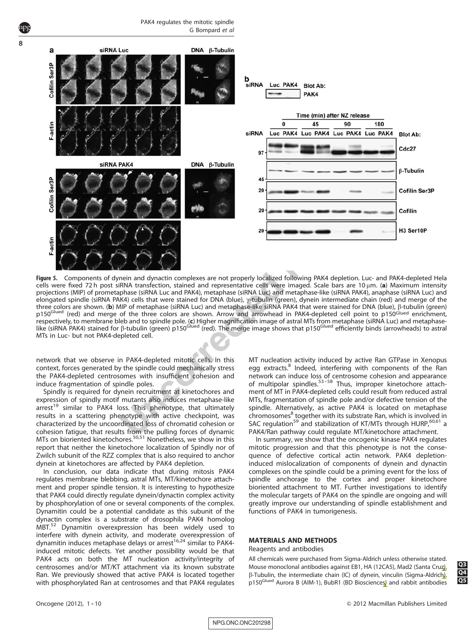<span id="page-8-0"></span>

Figure 5. Components of dynein and dynactin complexes are not properly localized following PAK4 depletion. Luc- and PAK4-depleted Hela cells were fixed 72 h post siRNA transfection, stained and representative cells were imaged. Scale bars are 10 um, (a) Maximum intensity projections (MIP) of prometaphase (siRNA Luc and PAK4), metaphase (siRNA Luc) and metaphase-like (siRNA PAK4), anaphase (siRNA Luc) and elongated spindle (siRNA PAK4) cells that were stained for DNA (blue),  $\gamma$ -tubulin (green), dynein intermediate chain (red) and merge of the three colors are shown. (b) MIP of metaphase (siRNA Luc) and metaphase-like siRNA PAK4 that were stained for DNA (blue), b-tubulin (green) p150<sup>Glued</sup> (red) and merge of the three colors are shown. Arrow and arrowhead in PAK4-depleted cell point to p150<sup>Glued</sup> enrichment, respectively, to membrane bleb and to spindle pole. (**c**) Higher magnification image of astral MTs from metaphase (siRNA Luc) and metaphase<br>like (siRNA PAK4) stained for β-tubulin (green) p150<sup>Glued</sup> (red). The merge imag MTs in Luc- but not PAK4-depleted cell.

network that we observe in PAK4-depleted mitotic cells. In this context, forces generated by the spindle could mechanically stress the PAK4-depleted centrosomes with insufficient cohesion and induce fragmentation of spindle poles.

Spindly is required for dynein recruitment at kinetochores and expression of spindly motif mutants also induces metaphase-like  $arrest<sup>19</sup>$  similar to PAK4 loss. This phenotype, that ultimately results in a scattering phenotype with active checkpoint, was characterized by the uncoordinated loss of chromatid cohesion or cohesion fatigue, that results from the pulling forces of dynamic MTs on bioriented kinetochores.[50,51](#page-10-0) Nonetheless, we show in this report that neither the kinetochore localization of Spindly nor of Zwilch subunit of the RZZ complex that is also required to anchor dynein at kinetochores are affected by PAK4 depletion.

In conclusion, our data indicate that during mitosis PAK4 regulates membrane blebbing, astral MTs, MT/kinetochore attachment and proper spindle tension. It is interesting to hypothesize that PAK4 could directly regulate dynein/dynactin complex activity by phosphorylation of one or several components of the complex. Dynamitin could be a potential candidate as this subunit of the dynactin complex is a substrate of drosophila PAK4 homolog MBT[.52](#page-10-0) Dynamitin overexpression has been widely used to interfere with dynein activity, and moderate overexpression of dynamitin induces metaphase delays or arrest<sup>16,24</sup> similar to PAK4induced mitotic defects. Yet another possibility would be that PAK4 acts on both the MT nucleation activity/integrity of centrosomes and/or MT/KT attachment via its known substrate Ran. We previously showed that active PAK4 is located together with phosphorylated Ran at centrosomes and that PAK4 regulates MT nucleation activity induced by active Ran GTPase in Xenopus egg extracts.<sup>[8](#page-9-0)</sup> Indeed, interfering with components of the Ran network can induce loss of centrosome cohesion and appearance of multipolar spindles.<sup>53-58</sup> Thus, improper kinetochore attachment of MT in PAK4-depleted cells could result from reduced astral MTs, fragmentation of spindle pole and/or defective tension of the spindle. Alternatively, as active PAK4 is located on metaphase chromosomes<sup>[8](#page-9-0)</sup> together with its substrate Ran, which is involved in SAC regulation<sup>59</sup> and stabilization of KT/MTs through HURP,  $60,61$  a PAK4/Ran pathway could regulate MT/kinetochore attachment.

In summary, we show that the oncogenic kinase PAK4 regulates mitotic progression and that this phenotype is not the consequence of defective cortical actin network. PAK4 depletioninduced mislocalization of components of dynein and dynactin complexes on the spindle could be a priming event for the loss of spindle anchorage to the cortex and proper kinetochore bioriented attachment to MT. Further investigations to identify the molecular targets of PAK4 on the spindle are ongoing and will greatly improve our understanding of spindle establishment and functions of PAK4 in tumorigenesis.

# MATERIALS AND METHODS

Reagents and antibodies

All chemicals were purchased from Sigma-Aldrich unless otherwise stated. Mouse monoclonal antibodies against EB1, HA (12CA5), Mad2 (Santa Cruz),<br>  $\beta$ -Tubulin, the intermediate chain (IC) of dynein, vinculin (Sigma-Aldrich),<br>
p150<sup>Glued</sup> Aurora B (AlM-1), BubB1 (BD Biosciences) and rabbit anti  $\beta$ -Tubulin, the intermediate chain (IC) of dynein, vinculin (Sigma-Aldrich), p150<sup>Glued</sup> Aurora B (AIM-1), BubR1 (BD Biosciences) and rabbit antibodies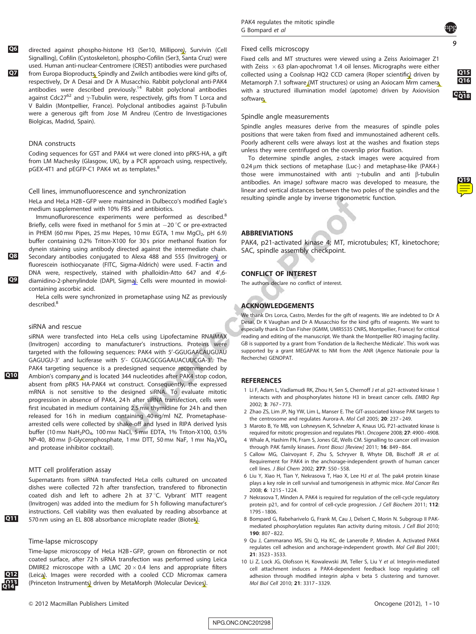<span id="page-9-0"></span>Q6 directed against phospho-histone H3 (Ser10, Millipore), Survivin (Cell Signalling), Cofilin (Cystoskeleton), phospho-Cofilin (Ser3, Santa Cruz) were used. Human anti-nuclear-Centromere (CREST) antibodies were purchased **Q7** from Europa Bioproducts. Spindly and Zwilch antibodies were kind gifts of, respectively, Dr A Desai and Dr A Musacchio. Rabbit polyclonal anti-PAK4 antibodies were described previously[.14](#page-10-0) Rabbit polyclonal antibodies against Cdc27<sup>62</sup> and  $\gamma$ -Tubulin were, respectively, gifts from T Lorca and V Baldin (Montpellier, France). Polyclonal antibodies against B-Tubulin were a generous gift from Jose M Andreu (Centro de Investigaciones Biolgicas, Madrid, Spain).

## DNA constructs

Coding sequences for GST and PAK4 wt were cloned into pRK5-HA, a gift from LM Machesky (Glasgow, UK), by a PCR approach using, respectively, pGEX-4T1 and pEGFP-C1 PAK4 wt as templates.<sup>8</sup>

#### Cell lines, immunofluorescence and synchronization

HeLa and HeLa H2B-GFP were maintained in Dulbecco's modified Eagle's medium supplemented with 10% FBS and antibiotics.

Immunoflurorescence experiments were performed as described.<sup>8</sup> Briefly, cells were fixed in methanol for 5 min at  $-20$  °C or pre-extracted in PHEM (60 mm Pipes, 25 mm Hepes, 10 mm EGTA, 1 mm  $MgCl<sub>2</sub>$ , pH 6.9) buffer containing 0.2% Triton-X100 for 30s prior methanol fixation for dynein staining using antibody directed against the intermediate chain. Q8 Secondary antibodies conjugated to Alexa 488 and 555 (Invitrogen) or fluorescein isothiocyanate (FITC, Sigma-Aldrich) were used. F-actin and DNA were, respectively, stained with phalloidin-Atto 647 and 4',6-Q9 diamidino-2-phenylindole (DAPI, Sigma). Cells were mounted in mowiolcontaining ascorbic acid.

HeLa cells were synchronized in prometaphase using NZ as previously described<sup>8</sup>

#### siRNA and rescue

siRNA were transfected into HeLa cells using Lipofectamine RNAiMAX (Invitrogen) according to manufacturer's instructions. Proteins were targeted with the following sequences: PAK4 with 5'-GGUGAACAUGUAU GAGUGU-3' and luciferase with 5'- CGUACGCGGAAUACUUCGA-3'. The PAK4 targeting sequence is a predesigned sequence recommended by Q10 Ambion's company and is located 344 nucleotides after PAK4 stop codon, absent from pRK5 HA-PAK4 wt construct. Consequently, the expressed mRNA is not sensitive to the designed siRNA. To evaluate mitotic progression in absence of PAK4, 24 h after siRNA transfection, cells were first incubated in medium containing 2.5 mm thymidine for 24 h and then released for 16h in medium containing 40 ng/ml NZ. Prometaphasearrested cells were collected by shake-off and lysed in RIPA derived lysis buffer (10 mm NaH<sub>2</sub>PO<sub>4</sub>, 100 mm NaCl, 5 mm EDTA, 1% Triton-X100, 0.5% NP-40, 80 mm  $\beta$ -Glycerophosphate, 1 mm DTT, 50 mm NaF, 1 mm Na<sub>3</sub>VO<sub>4</sub> and protease inhibitor cocktail).

## MTT cell proliferation assay

Supernatants from siRNA transfected HeLa cells cultured on uncoated dishes were collected 72 h after transfection, transfered to fibronectin coated dish and left to adhere 2h at 37 $\degree$ C. Vybrant $\degree$  MTT reagent (Invitrogen) was added into the medium for 5 h following manufacturer's instructions. Cell viability was then evaluated by reading absorbance at Q11 570 nm using an EL 808 absorbance microplate reader (Biotek).

#### Time-lapse microscopy

Time-lapse microscopy of HeLa H2B-GFP, grown on fibronectin or not coated surface, after 72 h siRNA transfection was performed using Leica DMIRE2 microscope with a LMC  $20 \times 0.4$  lens and appropriate filters (Leica). Images were recorded with a cooled CCD Micromax camera (Princeton Instruments) driven by MetaMorph (Molecular Devices).

#### Fixed cells microscopy

Fixed cells and MT structures were viewed using a Zeiss Axioimager Z1 with Zeiss  $\times$  63 plan-apochromat 1.4 oil lenses. Micrographs were either collected using a Coolsnap HQ2 CCD camera (Roper scientific) driven by  $\frac{Q15}{160}$  Metamorph 7.1 software (MT structures) or using an Axiocam Mrm camera. Metamorph 7.1 software (MT structures) or using an Axiocam Mrm cameral with a structured illumination model (apotome) driven by Axiovision  $\Box$ software **Q18** . The contract of the contract of the contract of the contract of the contract of the contract of the contract of the contract of the contract of the contract of the contract of the contract of the contract

## Spindle angle measurements

Spindle angles measures derive from the measures of spindle poles positions that were taken from fixed and immunostained adherent cells. Poorly adherent cells were always lost at the washes and fixation steps unless they were centrifuged on the coverslip prior fixation.

To determine spindle angles, z-stack images were acquired from  $0.24 \,\mu m$  thick sections of metaphase (Luc-) and metaphase-like (PAK4-) those were immunostained with anti  $\gamma$ -tubulin and anti  $\beta$ -tubulin antibodies. An imageJ software macro was developed to measure, the linear and vertical distances between the two poles of the spindles and the resulting spindle angle by inverse trigonometric function.

# ABBREVIATIONS

PAK4, p21-activated kinase 4; MT, microtubules; KT, kinetochore; SAC, spindle assembly checkpoint.

# CONFLICT OF INTEREST

The authors declare no conflict of interest.

# ACKNOWLEDGEMENTS

We thank Drs Lorca, Castro, Merdes for the gift of reagents. We are indebted to Dr A Desai, Dr K Vaughan and Dr A Musacchio for the kind gifts of reagents. We want to especially thank Dr Dan Fisher (IGMM, UMR5535 CNRS, Montpellier, France) for critical reading and editing of the manuscript. We thank the Montpellier RIO imaging facility. GB is supported by a grant from 'Fondation de la Recherche Médicale'. This work was supported by a grant MEGAPAK to NM from the ANR (Agence Nationale pour la Recherche) GENOPAT.

#### **REFERENCES**

- 1 Li F, Adam L, Vadlamudi RK, Zhou H, Sen S, Chernoff J et al. p21-activated kinase 1 interacts with and phosphorylates histone H3 in breast cancer cells. EMBO Rep 2002: 3: 767 - 773.
- 2 Zhao ZS, Lim JP, Ng YW, Lim L, Manser E. The GIT-associated kinase PAK targets to the centrosome and regulates Aurora-A. Mol Cell 2005; 20: 237 - 249.
- 3 Maroto B, Ye MB, von Lohneysen K, Schnelzer A, Knaus UG. P21-activated kinase is required for mitotic progression and regulates Plk1. Oncogene 2008; 27: 4900 - 4908.
- 4 Whale A, Hashim FN, Fram S, Jones GE, Wells CM. Signalling to cancer cell invasion through PAK family kinases. Front Biosci [Review] 2011; 16: 849-864.
- 5 Callow MG, Clairvoyant F, Zhu S, Schryver B, Whyte DB, Bischoff JR et al. Requirement for PAK4 in the anchorage-independent growth of human cancer cell lines. J Biol Chem 2002; 277: 550-558.
- 6 Liu Y, Xiao H, Tian Y, Nekrasova T, Hao X, Lee HJ et al. The pak4 protein kinase plays a key role in cell survival and tumorigenesis in athymic mice. Mol Cancer Res 2008: 6: 1215 - 1224.
- 7 Nekrasova T, Minden A. PAK4 is required for regulation of the cell-cycle regulatory protein p21, and for control of cell-cycle progression. J Cell Biochem 2011; 112: 1795 - 1806.
- 8 Bompard G, Rabeharivelo G, Frank M, Cau J, Delsert C, Morin N. Subgroup II PAKmediated phosphorylation regulates Ran activity during mitosis. J Cell Biol 2010;  $190: 807 - 822$
- 9 Qu J, Cammarano MS, Shi Q, Ha KC, de Lanerolle P, Minden A. Activated PAK4 regulates cell adhesion and anchorage-independent growth. Mol Cell Biol 2001; 21: 3523 - 3533.
- 10 Li Z, Lock JG, Olofsson H, Kowalewski JM, Teller S, Liu Y et al. Integrin-mediated cell attachment induces a PAK4-dependent feedback loop regulating cell adhesion through modified integrin alpha v beta 5 clustering and turnover. Mol Biol Cell 2010; 21: 3317 - 3329.